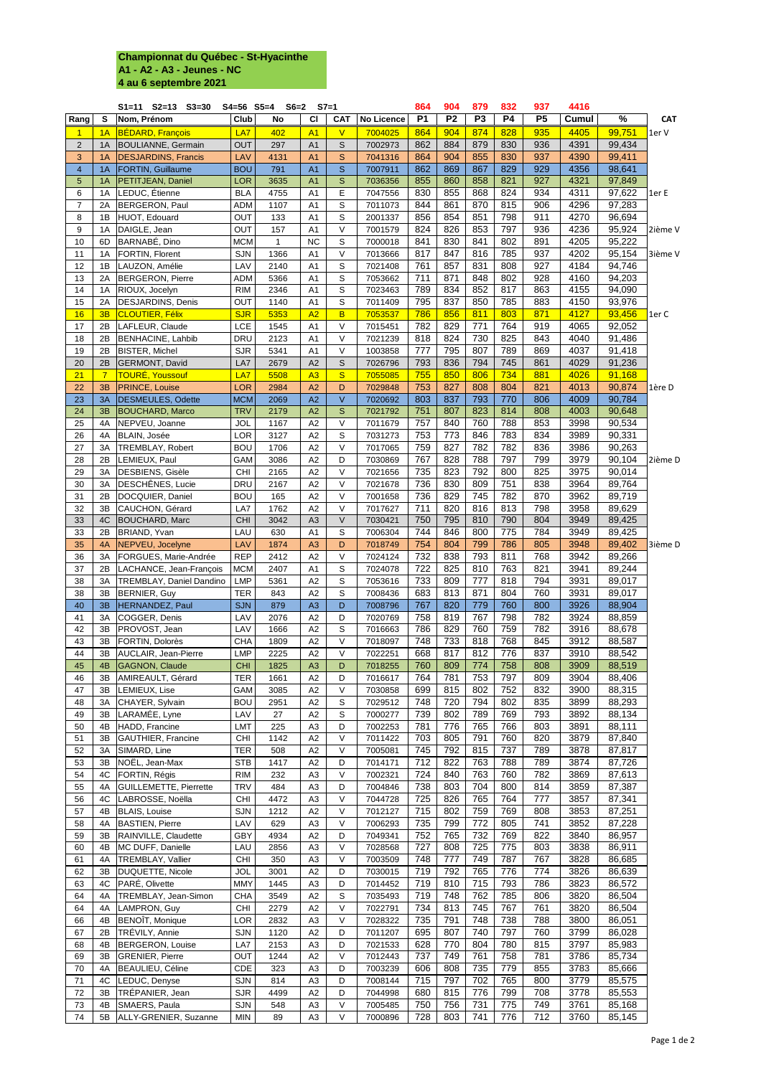## **Championnat du Québec - St-Hyacinthe A1 - A2 - A3 - Jeunes - NC 4 au 6 septembre 2021**

|                         |                      | $S1 = 11$ $S2 = 13$ $S3 = 30$                   |                          | S4=56 S5=4 S6=2 S7=1 |                                  |                       |                    | 864        | 904            | 879            | 832        | 937        | 4416         |                  |            |
|-------------------------|----------------------|-------------------------------------------------|--------------------------|----------------------|----------------------------------|-----------------------|--------------------|------------|----------------|----------------|------------|------------|--------------|------------------|------------|
| Rang                    | S                    | Nom, Prénom                                     | Club                     | <b>No</b>            | CI                               | <b>CAT</b>            | <b>No Licence</b>  | <b>P1</b>  | P <sub>2</sub> | <b>P3</b>      | <b>P4</b>  | <b>P5</b>  | Cumul        | %                | <b>CAT</b> |
| $\mathbf 1$             | 1A                   | BÉDARD, François                                | LA7                      | 402                  | A <sub>1</sub>                   | $\mathsf{V}$          | 7004025            | 864        | 904            | 874            | 828        | 935        | 4405         | 99,751           | 1er V      |
| $2^{\circ}$             | 1A                   | <b>BOULIANNE, Germain</b>                       | <b>OUT</b>               | 297                  | A <sub>1</sub>                   | $\mathsf S$           | 7002973            | 862        | 884            | 879            | 830        | 936        | 4391         | 99,434           |            |
| 3                       | 1A                   | <b>DESJARDINS, Francis</b>                      | LAV                      | 4131                 | A <sub>1</sub>                   | S                     | 7041316            | 864        | 904            | 855            | 830        | 937        | 4390         | 99,411           |            |
| $\overline{\mathbf{4}}$ | 1A                   | <b>FORTIN, Guillaume</b>                        | <b>BOU</b>               | 791                  | A <sub>1</sub>                   | S                     | 7007911            | 862        | 869            | 867            | 829        | 929        | 4356         | 98,641           |            |
| 5                       | 1A                   | <b>PETITJEAN, Daniel</b>                        | <b>LOR</b>               | 3635                 | A <sub>1</sub>                   | S                     | 7036356            | 855        | 860            | 858            | 821        | 927        | 4321         | 97,849           |            |
| 6                       | 1A                   | LEDUC, Étienne                                  | <b>BLA</b>               | 4755                 | A <sub>1</sub>                   | E                     | 7047556            | 830        | 855            | 868            | 824        | 934        | 4311         | 97,622           | 1er E      |
| $\overline{7}$<br>8     | 2A<br>1B             | BERGERON, Paul<br>HUOT, Edouard                 | <b>ADM</b><br><b>OUT</b> | 1107<br>133          | A <sub>1</sub><br>A <sub>1</sub> | S<br>S                | 7011073<br>2001337 | 844<br>856 | 861<br>854     | 870<br>851     | 815<br>798 | 906<br>911 | 4296<br>4270 | 97,283<br>96,694 |            |
| 9                       | 1A                   | DAIGLE, Jean                                    | OUT                      | 157                  | A <sub>1</sub>                   | $\vee$                | 7001579            | 824        | 826            | 853            | 797        | 936        | 4236         | 95,924           | 2ième V    |
| 10                      | 6D                   | BARNABÉ, Dino                                   | <b>MCM</b>               | 1                    | <b>NC</b>                        | S                     | 7000018            | 841        | 830            | 841            | 802        | 891        | 4205         | 95,222           |            |
| 11                      | 1A                   | FORTIN, Florent                                 | <b>SJN</b>               | 1366                 | A <sub>1</sub>                   | $\vee$                | 7013666            | 817        | 847            | 816            | 785        | 937        | 4202         | 95,154           | 3ième V    |
| 12                      | 1B                   | LAUZON, Amélie                                  | LAV                      | 2140                 | A <sub>1</sub>                   | S                     | 7021408            | 761        | 857            | 831            | 808        | 927        | 4184         | 94,746           |            |
| 13                      | 2A                   | <b>BERGERON, Pierre</b>                         | <b>ADM</b>               | 5366                 | A <sub>1</sub>                   | S                     | 7053662            | 711        | 871            | 848            | 802        | 928        | 4160         | 94,203           |            |
| 14                      | 1A                   | RIOUX, Jocelyn                                  | <b>RIM</b>               | 2346                 | A <sub>1</sub>                   | S                     | 7023463            | 789        | 834            | 852            | 817        | 863        | 4155         | 94,090           |            |
| 15                      | 2A                   | <b>DESJARDINS, Denis</b>                        | <b>OUT</b>               | 1140                 | A <sub>1</sub>                   | S                     | 7011409            | 795        | 837            | 850            | 785        | 883        | 4150         | 93,976           |            |
| 16                      | 3B                   | <b>CLOUTIER, Félix</b>                          | <b>SJR</b>               | 5353                 | A2                               | $\overline{B}$        | 7053537            | 786        | 856            | 811            | 803        | 871        | 4127         | 93,456           | 1er C      |
| 17                      | 2B                   | LAFLEUR, Claude                                 | <b>LCE</b>               | 1545                 | A <sub>1</sub>                   | V                     | 7015451            | 782        | 829            | 771            | 764        | 919        | 4065         | 92,052           |            |
| 18                      | 2B                   | <b>BENHACINE, Lahbib</b>                        | <b>DRU</b>               | 2123                 | A <sub>1</sub>                   | $\vee$                | 7021239            | 818        | 824            | 730            | 825        | 843        | 4040         | 91,486           |            |
| 19                      | 2B                   | BISTER, Michel                                  | <b>SJR</b>               | 5341                 | A <sub>1</sub>                   | $\vee$                | 1003858            | 777        | 795            | 807            | 789        | 869        | 4037         | 91,418           |            |
| 20<br>21                | 2B<br>$\overline{7}$ | <b>GERMONT, David</b><br><b>TOURÉ, Youssouf</b> | LA7<br>LA7               | 2679<br>5508         | A2<br>A3                         | S<br>S                | 7026796<br>7055085 | 793<br>755 | 836<br>850     | 794<br>806     | 745<br>734 | 861<br>881 | 4029<br>4026 | 91,236<br>91,168 |            |
| 22                      | 3B                   | <b>PRINCE, Louise</b>                           | LOR                      | 2984                 | A2                               | D                     | 7029848            | 753        | 827            | 808            | 804        | 821        | 4013         | 90,874           | 1ère D     |
| 23                      | 3A                   | DESMEULES, Odette                               | <b>MCM</b>               | 2069                 | A2                               | $\vee$                | 7020692            | 803        | 837            | 793            | 770        | 806        | 4009         | 90,784           |            |
| 24                      | 3B                   | <b>BOUCHARD, Marco</b>                          | <b>TRV</b>               | 2179                 | A2                               | S                     | 7021792            | 751        | 807            | 823            | 814        | 808        | 4003         | 90,648           |            |
| 25                      | 4A                   | NEPVEU, Joanne                                  | <b>JOL</b>               | 1167                 | A2                               | $\vee$                | 7011679            | 757        | 840            | 760            | 788        | 853        | 3998         | 90,534           |            |
| 26                      | 4A                   | BLAIN, Josée                                    | <b>LOR</b>               | 3127                 | A2                               | S                     | 7031273            | 753        | 773            | 846            | 783        | 834        | 3989         | 90,331           |            |
| 27                      | 3A                   | TREMBLAY, Robert                                | <b>BOU</b>               | 1706                 | A2                               | $\vee$                | 7017065            | 759        | 827            | 782            | 782        | 836        | 3986         | 90,263           |            |
| 28                      | 2B                   | LEMIEUX, Paul                                   | GAM                      | 3086                 | A2                               | D                     | 7030869            | 767        | 828            | 788            | 797        | 799        | 3979         | 90,104           | 2ième D    |
| 29                      | 3A                   | DESBIENS, Gisèle                                | <b>CHI</b>               | 2165                 | A2                               | $\vee$                | 7021656            | 735        | 823            | 792            | 800        | 825        | 3975         | 90,014           |            |
| 30                      | 3A                   | DESCHÊNES, Lucie                                | <b>DRU</b>               | 2167                 | A2                               | $\vee$                | 7021678            | 736        | 830            | 809            | 751        | 838        | 3964         | 89,764           |            |
| 31                      | 2B                   | DOCQUIER, Daniel                                | <b>BOU</b>               | 165                  | A2                               | $\vee$                | 7001658            | 736        | 829            | 745            | 782        | 870        | 3962         | 89,719           |            |
| 32                      | 3B                   | CAUCHON, Gérard                                 | LA7                      | 1762                 | A2                               | $\vee$                | 7017627            | 711        | 820            | 816            | 813        | 798        | 3958         | 89,629           |            |
| 33                      | 4C                   | <b>BOUCHARD, Marc</b>                           | <b>CHI</b>               | 3042                 | A3                               | $\vee$                | 7030421            | 750        | 795            | 810            | 790        | 804        | 3949         | 89,425           |            |
| 33                      | 2B                   | BRIAND, Yvan                                    | LAU                      | 630                  | A <sub>1</sub><br>A3             | S                     | 7006304            | 744<br>754 | 846<br>804     | 800<br>799     | 775<br>786 | 784<br>805 | 3949<br>3948 | 89,425           |            |
| 35<br>36                | 4A<br>3A             | NEPVEU, Jocelyne<br>FORGUES, Marie-Andrée       | LAV<br><b>REP</b>        | 1874<br>2412         | A2                               | D<br>$\vee$           | 7018749<br>7024124 | 732        | 838            | 793            | 811        | 768        | 3942         | 89,402<br>89,266 | 3ième D    |
| 37                      | 2B                   | LACHANCE, Jean-François                         | <b>MCM</b>               | 2407                 | A <sub>1</sub>                   | S                     | 7024078            | 722        | 825            | 810            | 763        | 821        | 3941         | 89,244           |            |
| 38                      | 3A                   | <b>TREMBLAY, Daniel Dandino</b>                 | <b>LMP</b>               | 5361                 | A2                               | S                     | 7053616            | 733        | 809            | 777            | 818        | 794        | 3931         | 89,017           |            |
| 38                      | 3B                   | BERNIER, Guy                                    | <b>TER</b>               | 843                  | A2                               | S                     | 7008436            | 683        | 813            | 871            | 804        | 760        | 3931         | 89,017           |            |
| 40                      | 3B                   | HERNANDEZ, Paul                                 | <b>SJN</b>               | 879                  | A3                               | D                     | 7008796            | 767        | 820            | 779            | 760        | 800        | 3926         | 88,904           |            |
| 41                      | 3A                   | COGGER, Denis                                   | LAV                      | 2076                 | A2                               | D                     | 7020769            | 758        | 819            | 767            | 798        | 782        | 3924         | 88,859           |            |
| 42                      | 3B                   | PROVOST, Jean                                   | LAV                      | 1666                 | A2                               | S                     | 7016663            | 786        | 829            | 760            | 759        | 782        | 3916         | 88,678           |            |
| 43                      | 3B                   | FORTIN, Dolorès                                 | <b>CHA</b>               | 1809                 | A2                               | $\vee$                | 7018097            | 748        | 733            | 818            | 768        | 845        | 3912         | 88,587           |            |
| 44                      | 3B                   | <b>AUCLAIR, Jean-Pierre</b>                     | <b>LMP</b>               | 2225                 | A2                               | $\vee$                | 7022251            | 668        | 817            | 812            | 776        | 837        | 3910         | 88,542           |            |
| 45                      | 4B                   | <b>GAGNON, Claude</b>                           | <b>CHI</b>               | 1825                 | A3                               | D                     | 7018255            | 760        | 809            | 774            | 758        | 808        | 3909         | 88,519           |            |
| 46                      | 3B                   | AMIREAULT, Gérard                               | <b>TER</b>               | 1661                 | A2                               | D                     | 7016617            | 764        | 781            | 753            | 797        | 809        | 3904         | 88,406           |            |
| 47<br>48                | 3B<br>3A             | LEMIEUX, Lise                                   | <b>GAM</b><br><b>BOU</b> | 3085<br>2951         | A2<br>A2                         | $\vee$<br>$\mathsf S$ | 7030858<br>7029512 | 699<br>748 | 815<br>720     | 802<br>794     | 752<br>802 | 832<br>835 | 3900<br>3899 | 88,315<br>88,293 |            |
| 49                      | 3B                   | CHAYER, Sylvain<br>LARAMÉE, Lyne                | LAV                      | 27                   | A2                               | S                     | 7000277            | 739        | 802            | 789            | 769        | 793        | 3892         | 88,134           |            |
| 50                      | 4B                   | HADD, Francine                                  | <b>LMT</b>               | 225                  | A <sub>3</sub>                   | D                     | 7002253            | 781        | 776            | 765            | 766        | 803        | 3891         | 88,111           |            |
| 51                      | 3B                   | <b>GAUTHIER, Francine</b>                       | <b>CHI</b>               | 1142                 | A2                               | $\vee$                | 7011422            | 703        | 805            | 791            | 760        | 820        | 3879         | 87,840           |            |
| 52                      | 3A                   | SIMARD, Line                                    | <b>TER</b>               | 508                  | A2                               | $\vee$                | 7005081            | 745        | 792            | 815            | 737        | 789        | 3878         | 87,817           |            |
| 53                      | 3B                   | NOËL, Jean-Max                                  | <b>STB</b>               | 1417                 | A2                               | D                     | 7014171            | 712        | 822            | 763            | 788        | 789        | 3874         | 87,726           |            |
| 54                      | 4C                   | FORTIN, Régis                                   | <b>RIM</b>               | 232                  | A <sub>3</sub>                   | $\vee$                | 7002321            | 724        | 840            | 763            | 760        | 782        | 3869         | 87,613           |            |
| 55                      | 4A                   | <b>GUILLEMETTE, Pierrette</b>                   | <b>TRV</b>               | 484                  | A <sub>3</sub>                   | D                     | 7004846            | 738        | 803            | 704            | 800        | 814        | 3859         | 87,387           |            |
| 56                      | 4C                   | LABROSSE, Noëlla                                | <b>CHI</b>               | 4472                 | A <sub>3</sub>                   | $\vee$                | 7044728            | 725        | 826            | 765            | 764        | 777        | 3857         | 87,341           |            |
| 57                      | 4B                   | <b>BLAIS, Louise</b>                            | <b>SJN</b>               | 1212                 | A2                               | $\vee$                | 7012127            | 715        | 802            | 759            | 769        | 808        | 3853         | 87,251           |            |
| 58                      | 4A                   | <b>BASTIEN, Pierre</b>                          | LAV                      | 629                  | A <sub>3</sub>                   | $\vee$                | 7006293            | 735        | 799            | 772            | 805        | 741        | 3852         | 87,228           |            |
| 59                      | 3B                   | RAINVILLE, Claudette                            | <b>GBY</b>               | 4934                 | A2                               | D                     | 7049341            | 752        | 765            | 732            | 769        | 822        | 3840         | 86,957           |            |
| 60<br>61                | 4B<br>4A             | MC DUFF, Danielle<br><b>TREMBLAY, Vallier</b>   | LAU<br><b>CHI</b>        | 2856<br>350          | A <sub>3</sub><br>A <sub>3</sub> | $\vee$<br>$\vee$      | 7028568<br>7003509 | 727<br>748 | 808            | 725<br>777 749 | 775<br>787 | 803<br>767 | 3838<br>3828 | 86,911<br>86,685 |            |
| 62                      | 3B                   | <b>DUQUETTE, Nicole</b>                         | <b>JOL</b>               | 3001                 | A2                               | D                     | 7030015            | 719        | 792            | 765            | 776        | 774        | 3826         | 86,639           |            |
| 63                      | 4C                   | PARÉ, Olivette                                  | <b>MMY</b>               | 1445                 | A <sub>3</sub>                   | D                     | 7014452            | 719        | 810            | 715            | 793        | 786        | 3823         | 86,572           |            |
| 64                      | 4A                   | TREMBLAY, Jean-Simon                            | <b>CHA</b>               | 3549                 | A2                               | S                     | 7035493            | 719        | 748            | 762            | 785        | 806        | 3820         | 86,504           |            |
| 64                      | 4A                   | LAMPRON, Guy                                    | <b>CHI</b>               | 2279                 | A2                               | $\vee$                | 7022791            | 734        | 813            | 745            | 767        | 761        | 3820         | 86,504           |            |
| 66                      | 4B                   | BENOÎT, Monique                                 | <b>LOR</b>               | 2832                 | A <sub>3</sub>                   | $\vee$                | 7028322            | 735        | 791            | 748            | 738        | 788        | 3800         | 86,051           |            |
| 67                      | 2B                   | <b>TRÉVILY, Annie</b>                           | <b>SJN</b>               | 1120                 | A2                               | D                     | 7011207            | 695        | 807            | 740            | 797        | 760        | 3799         | 86,028           |            |
| 68                      | 4B                   | BERGERON, Louise                                | LA7                      | 2153                 | A <sub>3</sub>                   | D                     | 7021533            | 628        | 770            | 804            | 780        | 815        | 3797         | 85,983           |            |
| 69                      | 3B                   | <b>GRENIER, Pierre</b>                          | <b>OUT</b>               | 1244                 | A2                               | V                     | 7012443            | 737        | 749            | 761            | 758        | 781        | 3786         | 85,734           |            |
| 70                      | 4A                   | BEAULIEU, Céline                                | <b>CDE</b>               | 323                  | A <sub>3</sub>                   | D                     | 7003239            | 606        | 808            | 735            | 779        | 855        | 3783         | 85,666           |            |
| 71                      | 4C                   | LEDUC, Denyse                                   | SJN                      | 814                  | A <sub>3</sub>                   | D                     | 7008144            | 715        | 797            | 702            | 765        | 800        | 3779         | 85,575           |            |
| 72                      | 3B                   | TRÉPANIER, Jean                                 | <b>SJR</b>               | 4499                 | A2                               | D                     | 7044998            | 680        | 815            | 776            | 799        | 708        | 3778         | 85,553           |            |
| 73<br>74                | 4B<br>5B             | SMAERS, Paula<br>ALLY-GRENIER, Suzanne          | SJN<br><b>MIN</b>        | 548<br>89            | A <sub>3</sub><br>A <sub>3</sub> | $\vee$<br>V           | 7005485<br>7000896 | 750<br>728 | 756<br>803     | 731<br>741     | 775<br>776 | 749<br>712 | 3761<br>3760 | 85,168<br>85,145 |            |
|                         |                      |                                                 |                          |                      |                                  |                       |                    |            |                |                |            |            |              |                  |            |